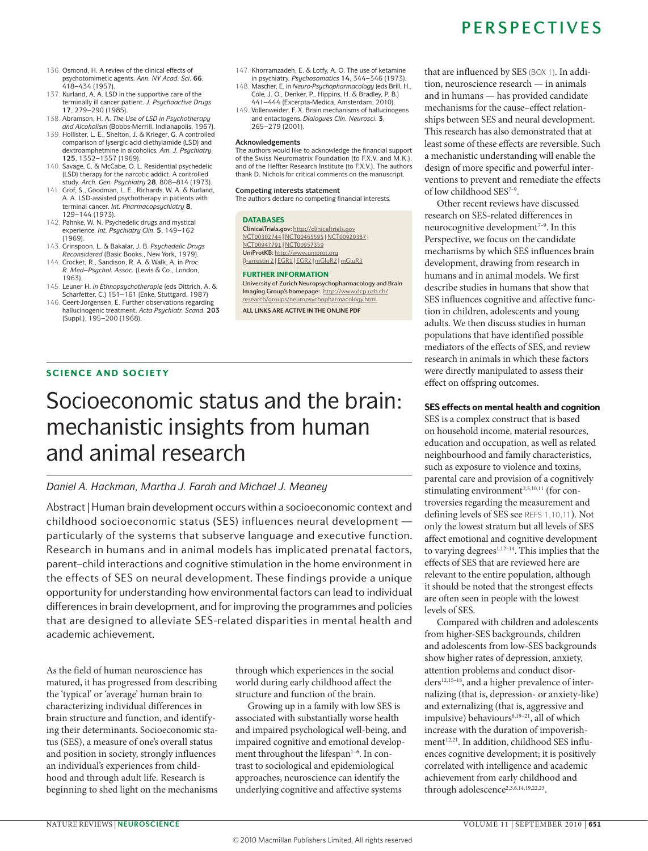- 136. Osmond, H. A review of the clinical effects of psychotomimetic agents. *Ann. NY Acad. Sci.* **66**, 418–434 (1957).
- 137. Kurland, A. A. LSD in the supportive care of the terminally ill cancer patient. *J. Psychoactive Drugs* **17**, 279–290 (1985).
- 138. Abramson, H. A. *The Use of LSD in Psychotherapy and Alcoholism* (Bobbs-Merrill, Indianapolis, 1967).
- 139. Hollister, L. E., Shelton, J. & Krieger, G. A controlled comparison of lysergic acid diethylamide (LSD) and dextroamphetmine in alcoholics. *Am. J. Psychiatry* **125**, 1352–1357 (1969).
- 140. Savage, C. & McCabe, O. L. Residential psychedelic (LSD) therapy for the narcotic addict. A controlled study. *Arch. Gen. Psychiatry* **28**, 808–814 (1973).
- 141. Grof, S., Goodman, L. E., Richards, W. A. & Kurland, A. A. LSD-assisted psychotherapy in patients with terminal cancer. *Int. Pharmacopsychiatry* **8**, 129–144 (1973).
- 142. Pahnke, W. N. Psychedelic drugs and mystical experience. *Int. Psychiatry Clin.* **5**, 149–162 (1969).
- 143. Grinspoon, L. & Bakalar, J. B. *Psychedelic Drugs Reconsidered* (Basic Books., New York, 1979).
- 144. Crocket, R., Sandison, R. A. & Walk, A. in *Proc. R. Med–Psychol. Assoc.* (Lewis & Co., London, 1963).
- 145. Leuner H. *in Ethnopsychotherapie* (eds Dittrich, A. & Scharfetter, C.) 151–161 (Enke, Stuttgard, 1987)
- 146. Geert-Jorgensen, E. Further observations regarding hallucinogenic treatment. *Acta Psychiatr. Scand.* **203** (Suppl.), 195–200 (1968).
- SCIENCE AND SOCIETY

# Socioeconomic status and the brain: mechanistic insights from human and animal research

### *Daniel A. Hackman, Martha J. Farah and Michael J. Meaney*

Abstract | Human brain development occurs within a socioeconomic context and childhood socioeconomic status (SeS) influences neural development particularly of the systems that subserve language and executive function. Research in humans and in animal models has implicated prenatal factors, parent–child interactions and cognitive stimulation in the home environment in the effects of SES on neural development. These findings provide a unique opportunity for understanding how environmental factors can lead to individual differences in brain development, and for improving the programmes and policies that are designed to alleviate SES-related disparities in mental health and academic achievement.

As the field of human neuroscience has matured, it has progressed from describing the 'typical' or 'average' human brain to characterizing individual differences in brain structure and function, and identifying their determinants. Socioeconomic status (SES), a measure of one's overall status and position in society, strongly influences an individual's experiences from childhood and through adult life. Research is beginning to shed light on the mechanisms

through which experiences in the social world during early childhood affect the structure and function of the brain.

147. Khorramzadeh, E. & Lotfy, A. O. The use of ketamine in psychiatry. *Psychosomatics* **14**, 344–346 (1973). 148. Mascher, E. in *Neuro‑Psychopharmacology* (eds Brill, H., Cole, J. O., Denker, P., Hippins, H. & Bradley, P. B.) 441–444 (Excerpta-Medica, Amsterdam, 2010). 149. Vollenweider, F. X. Brain mechanisms of hallucinogens and entactogens. *Dialogues Clin. Neurosci.* **3**,

The authors would like to acknowledge the financial support of the Swiss Neuromatrix Foundation (to F.X.V. and M.K.), and of the Heffter Research Institute (to F.X.V.). The authors thank D. Nichols for critical comments on the manuscript.

The authors declare no competing financial interests.

University of Zurich Neuropsychopharmacology and Brain imaging Group's homepage: [http://www.dcp.uzh.ch/](http://www.dcp.uzh.ch/research/groups/neuropsychopharmacology.html) [research/groups/neuropsychopharmacology.html](http://www.dcp.uzh.ch/research/groups/neuropsychopharmacology.html) **All liNks Are Active iN the oNliNe pdf**

265–279 (2001). **Acknowledgements**

**Competing interests statement** 

[NcT00947791](http://www.clinicaltrial.gov/ct2/show/NCT00947791?term=ketamine+bipolar&rank=1) | [NcT00957359](http://www.clinicaltrial.gov/ct2/show/NCT00957359?term=psilocybin&rank=4) UniProtKB: <http://www.uniprot.org> b[-arrestin 2](http://www.uniprot.org/uniprot/P32121) | [eGR1](http://www.uniprot.org/uniprot/P18146) | [eGR2](http://www.uniprot.org/uniprot/P11161) | [mGluR2](http://www.uniprot.org/uniprot/Q14416) | [mGluR3](http://www.uniprot.org/uniprot/Q14832) FURTHER inFORMATiOn

clinicaltrials.gov:<http://clinicaltrials.gov> [NcT00302744](http://www.clinicaltrial.gov/ct2/show/NCT00302744?term=psilocybin&rank=2) | [NcT00465595](http://www.clinicaltrial.gov/ct2/show/NCT00465595?term=psilocybin&rank=5) | [NcT00920387](http://www.clinicaltrial.gov/ct2/show/NCT00920387?term=LSD&rank=1) |

**DATABASES** 

Growing up in a family with low SES is associated with substantially worse health and impaired psychological well-being, and impaired cognitive and emotional development throughout the lifespan<sup>1-6</sup>. In contrast to sociological and epidemiological approaches, neuroscience can identify the underlying cognitive and affective systems

### **PFRSPFCTIVES**

that are influenced by SES (BOX 1). In addition, neuroscience research — in animals and in humans — has provided candidate mechanisms for the cause–effect relationships between SES and neural development. This research has also demonstrated that at least some of these effects are reversible. Such a mechanistic understanding will enable the design of more specific and powerful interventions to prevent and remediate the effects of low childhood SES7–9.

Other recent reviews have discussed research on SES-related differences in neurocognitive development<sup>7-9</sup>. In this Perspective, we focus on the candidate mechanisms by which SES influences brain development, drawing from research in humans and in animal models. We first describe studies in humans that show that SES influences cognitive and affective function in children, adolescents and young adults. We then discuss studies in human populations that have identified possible mediators of the effects of SES, and review research in animals in which these factors were directly manipulated to assess their effect on offspring outcomes.

### SES effects on mental health and cognition

SES is a complex construct that is based on household income, material resources, education and occupation, as well as related neighbourhood and family characteristics, such as exposure to violence and toxins, parental care and provision of a cognitively stimulating environment $2,5,10,11$  (for controversies regarding the measurement and defining levels of SES see ReFS 1,10,11). Not only the lowest stratum but all levels of SES affect emotional and cognitive development to varying degrees $1,12-14$ . This implies that the effects of SES that are reviewed here are relevant to the entire population, although it should be noted that the strongest effects are often seen in people with the lowest levels of SES.

Compared with children and adolescents from higher-SES backgrounds, children and adolescents from low-SES backgrounds show higher rates of depression, anxiety, attention problems and conduct disorders<sup>12,15-18</sup>, and a higher prevalence of internalizing (that is, depression- or anxiety-like) and externalizing (that is, aggressive and impulsive) behaviours<sup>6,19-21</sup>, all of which increase with the duration of impoverishment<sup>12,21</sup>. In addition, childhood SES influences cognitive development; it is positively correlated with intelligence and academic achievement from early childhood and through adolescence<sup>2,3,6,14,19,22,23</sup>.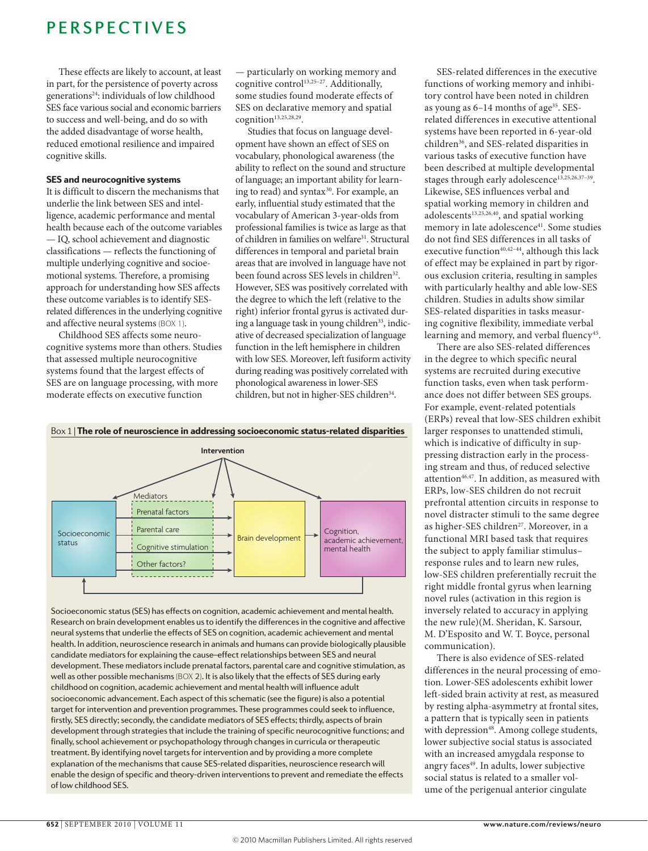These effects are likely to account, at least in part, for the persistence of poverty across generations24: individuals of low childhood SES face various social and economic barriers to success and well-being, and do so with the added disadvantage of worse health, reduced emotional resilience and impaired cognitive skills.

### SES and neurocognitive systems

It is difficult to discern the mechanisms that underlie the link between SES and intelligence, academic performance and mental health because each of the outcome variables — IQ, school achievement and diagnostic classifications — reflects the functioning of multiple underlying cognitive and socioemotional systems. Therefore, a promising approach for understanding how SES affects these outcome variables is to identify SESrelated differences in the underlying cognitive and affective neural systems (BOX 1).

Childhood SES affects some neurocognitive systems more than others. Studies that assessed multiple neurocognitive systems found that the largest effects of SES are on language processing, with more moderate effects on executive function

— particularly on working memory and cognitive control<sup>13,25-27</sup>. Additionally, some studies found moderate effects of SES on declarative memory and spatial cognition<sup>13,25,28,29</sup>.

Studies that focus on language development have shown an effect of SES on vocabulary, phonological awareness (the ability to reflect on the sound and structure of language; an important ability for learning to read) and syntax<sup>30</sup>. For example, an early, influential study estimated that the vocabulary of American 3-year-olds from professional families is twice as large as that of children in families on welfare<sup>31</sup>. Structural differences in temporal and parietal brain areas that are involved in language have not been found across SES levels in children<sup>32</sup>. However, SES was positively correlated with the degree to which the left (relative to the right) inferior frontal gyrus is activated during a language task in young children<sup>33</sup>, indicative of decreased specialization of language function in the left hemisphere in children with low SES. Moreover, left fusiform activity during reading was positively correlated with phonological awareness in lower-SES children, but not in higher-SES children<sup>34</sup>.



**Nature Reviews** | **Neuroscience** Research on brain development enables us to identify the differences in the cognitive and affective Socioeconomic status (SES) has effects on cognition, academic achievement and mental health. neural systems that underlie the effects of SES on cognition, academic achievement and mental health. In addition, neuroscience research in animals and humans can provide biologically plausible candidate mediators for explaining the cause–effect relationships between SES and neural development. These mediators include prenatal factors, parental care and cognitive stimulation, as well as other possible mechanisms (BOX 2). It is also likely that the effects of SES during early childhood on cognition, academic achievement and mental health will influence adult socioeconomic advancement. Each aspect of this schematic (see the figure) is also a potential target for intervention and prevention programmes. These programmes could seek to influence, firstly, SES directly; secondly, the candidate mediators of SES effects; thirdly, aspects of brain development through strategies that include the training of specific neurocognitive functions; and finally, school achievement or psychopathology through changes in curricula or therapeutic treatment. By identifying novel targets for intervention and by providing a more complete explanation of the mechanisms that cause SES-related disparities, neuroscience research will enable the design of specific and theory-driven interventions to prevent and remediate the effects of low childhood SES.

SES-related differences in the executive functions of working memory and inhibitory control have been noted in children as young as  $6-14$  months of age<sup>35</sup>. SESrelated differences in executive attentional systems have been reported in 6-year-old children36, and SES-related disparities in various tasks of executive function have been described at multiple developmental stages through early adolescence13,25,26,37–39. Likewise, SES influences verbal and spatial working memory in children and adolescents<sup>13,25,26,40</sup>, and spatial working memory in late adolescence<sup>41</sup>. Some studies do not find SES differences in all tasks of executive function $40,42-44$ , although this lack of effect may be explained in part by rigorous exclusion criteria, resulting in samples with particularly healthy and able low-SES children. Studies in adults show similar SES-related disparities in tasks measuring cognitive flexibility, immediate verbal learning and memory, and verbal fluency<sup>45</sup>.

There are also SES-related differences in the degree to which specific neural systems are recruited during executive function tasks, even when task performance does not differ between SES groups. For example, event-related potentials (ERPs) reveal that low-SES children exhibit larger responses to unattended stimuli, which is indicative of difficulty in suppressing distraction early in the processing stream and thus, of reduced selective attention46,47. In addition, as measured with ERPs, low-SES children do not recruit prefrontal attention circuits in response to novel distracter stimuli to the same degree as higher-SES children<sup>27</sup>. Moreover, in a functional MRI based task that requires the subject to apply familiar stimulus– response rules and to learn new rules, low-SES children preferentially recruit the right middle frontal gyrus when learning novel rules (activation in this region is inversely related to accuracy in applying the new rule)(M. Sheridan, K. Sarsour, M. D'Esposito and W. T. boyce, personal communication).

There is also evidence of SES-related differences in the neural processing of emotion. Lower-SES adolescents exhibit lower left-sided brain activity at rest, as measured by resting alpha-asymmetry at frontal sites, a pattern that is typically seen in patients with depression<sup>48</sup>. Among college students, lower subjective social status is associated with an increased amygdala response to angry faces<sup>49</sup>. In adults, lower subjective social status is related to a smaller volume of the perigenual anterior cingulate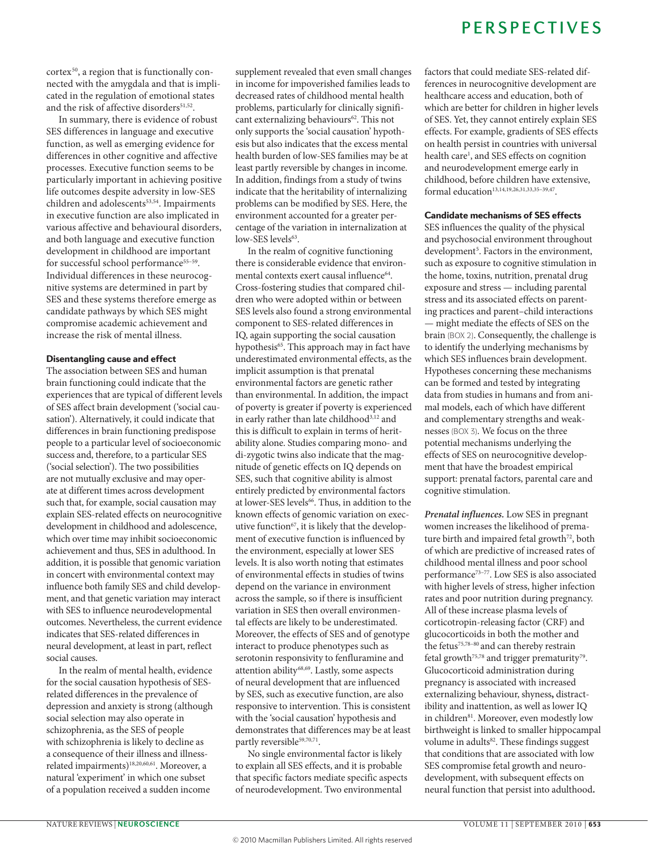### **PFRSPFCTIVES**

cortex<sup>50</sup>, a region that is functionally connected with the amygdala and that is implicated in the regulation of emotional states and the risk of affective disorders<sup>51,52</sup>.

In summary, there is evidence of robust SES differences in language and executive function, as well as emerging evidence for differences in other cognitive and affective processes. Executive function seems to be particularly important in achieving positive life outcomes despite adversity in low-SES children and adolescents<sup>53,54</sup>. Impairments in executive function are also implicated in various affective and behavioural disorders, and both language and executive function development in childhood are important for successful school performance<sup>55-59</sup>. Individual differences in these neurocognitive systems are determined in part by SES and these systems therefore emerge as candidate pathways by which SES might compromise academic achievement and increase the risk of mental illness.

### Disentangling cause and effect

The association between SES and human brain functioning could indicate that the experiences that are typical of different levels of SES affect brain development ('social causation'). Alternatively, it could indicate that differences in brain functioning predispose people to a particular level of socioeconomic success and, therefore, to a particular SES ('social selection'). The two possibilities are not mutually exclusive and may operate at different times across development such that, for example, social causation may explain SES-related effects on neurocognitive development in childhood and adolescence, which over time may inhibit socioeconomic achievement and thus, SES in adulthood. In addition, it is possible that genomic variation in concert with environmental context may influence both family SES and child development, and that genetic variation may interact with SES to influence neurodevelopmental outcomes. Nevertheless, the current evidence indicates that SES-related differences in neural development, at least in part, reflect social causes.

In the realm of mental health, evidence for the social causation hypothesis of SESrelated differences in the prevalence of depression and anxiety is strong (although social selection may also operate in schizophrenia, as the SES of people with schizophrenia is likely to decline as a consequence of their illness and illnessrelated impairments)18,20,60,61. Moreover, a natural 'experiment' in which one subset of a population received a sudden income

supplement revealed that even small changes in income for impoverished families leads to decreased rates of childhood mental health problems, particularly for clinically significant externalizing behaviours<sup>62</sup>. This not only supports the 'social causation' hypothesis but also indicates that the excess mental health burden of low-SES families may be at least partly reversible by changes in income. In addition, findings from a study of twins indicate that the heritability of internalizing problems can be modified by SES. Here, the environment accounted for a greater percentage of the variation in internalization at low-SES levels<sup>63</sup>.

In the realm of cognitive functioning there is considerable evidence that environmental contexts exert causal influence<sup>64</sup>. Cross-fostering studies that compared children who were adopted within or between SES levels also found a strong environmental component to SES-related differences in IQ, again supporting the social causation hypothesis<sup>65</sup>. This approach may in fact have underestimated environmental effects, as the implicit assumption is that prenatal environmental factors are genetic rather than environmental. In addition, the impact of poverty is greater if poverty is experienced in early rather than late childhood<sup>3,12</sup> and this is difficult to explain in terms of heritability alone. Studies comparing mono- and di-zygotic twins also indicate that the magnitude of genetic effects on IQ depends on SES, such that cognitive ability is almost entirely predicted by environmental factors at lower-SES levels<sup>66</sup>. Thus, in addition to the known effects of genomic variation on executive function<sup>67</sup>, it is likely that the development of executive function is influenced by the environment, especially at lower SES levels. It is also worth noting that estimates of environmental effects in studies of twins depend on the variance in environment across the sample, so if there is insufficient variation in SES then overall environmental effects are likely to be underestimated. Moreover, the effects of SES and of genotype interact to produce phenotypes such as serotonin responsivity to fenfluramine and attention ability<sup>68,69</sup>. Lastly, some aspects of neural development that are influenced by SES, such as executive function, are also responsive to intervention. This is consistent with the 'social causation' hypothesis and demonstrates that differences may be at least partly reversible<sup>59,70,71</sup>.

No single environmental factor is likely to explain all SES effects, and it is probable that specific factors mediate specific aspects of neurodevelopment. Two environmental

factors that could mediate SES-related differences in neurocognitive development are healthcare access and education, both of which are better for children in higher levels of SES. Yet, they cannot entirely explain SES effects. For example, gradients of SES effects on health persist in countries with universal health care<sup>1</sup>, and SES effects on cognition and neurodevelopment emerge early in childhood, before children have extensive, formal education<sup>13,14,19,26,31,33,35-39,47</sup>.

#### Candidate mechanisms of SES effects

SES influences the quality of the physical and psychosocial environment throughout development<sup>5</sup>. Factors in the environment, such as exposure to cognitive stimulation in the home, toxins, nutrition, prenatal drug exposure and stress — including parental stress and its associated effects on parenting practices and parent–child interactions — might mediate the effects of SES on the brain (BOX 2). Consequently, the challenge is to identify the underlying mechanisms by which SES influences brain development. Hypotheses concerning these mechanisms can be formed and tested by integrating data from studies in humans and from animal models, each of which have different and complementary strengths and weaknesses (BOX 3). We focus on the three potential mechanisms underlying the effects of SES on neurocognitive development that have the broadest empirical support: prenatal factors, parental care and cognitive stimulation.

*Prenatal influences.* Low SES in pregnant women increases the likelihood of premature birth and impaired fetal growth<sup>72</sup>, both of which are predictive of increased rates of childhood mental illness and poor school performance<sup>73-77</sup>. Low SES is also associated with higher levels of stress, higher infection rates and poor nutrition during pregnancy. All of these increase plasma levels of corticotropin-releasing factor (CRF) and glucocorticoids in both the mother and the fetus75,78–80 and can thereby restrain fetal growth<sup>75,78</sup> and trigger prematurity<sup>79</sup>. Glucocorticoid administration during pregnancy is associated with increased externalizing behaviour, shyness**,** distractibility and inattention, as well as lower IQ in children<sup>81</sup>. Moreover, even modestly low birthweight is linked to smaller hippocampal volume in adults<sup>82</sup>. These findings suggest that conditions that are associated with low SES compromise fetal growth and neurodevelopment, with subsequent effects on neural function that persist into adulthood**.**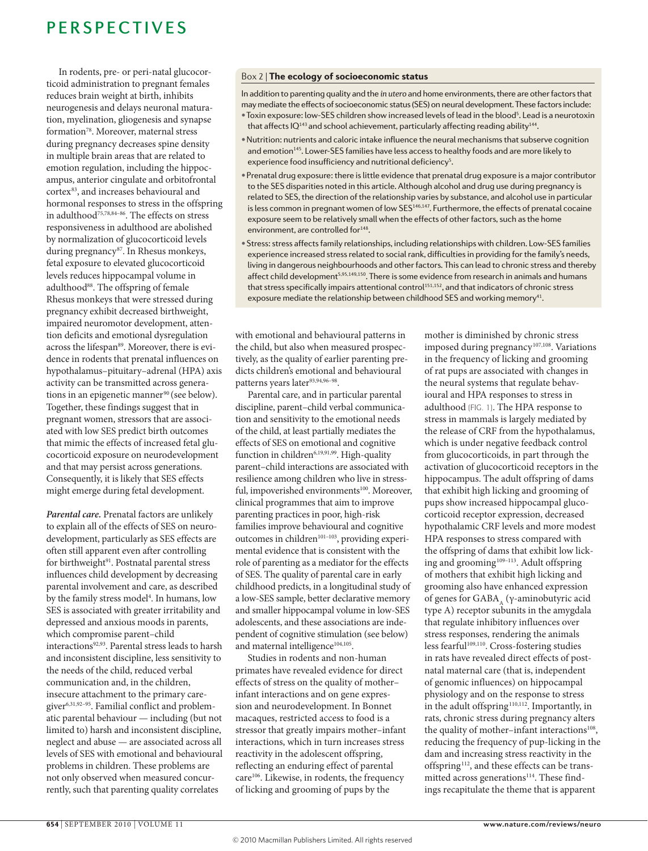In rodents, pre- or peri-natal glucocorticoid administration to pregnant females reduces brain weight at birth, inhibits neurogenesis and delays neuronal maturation, myelination, gliogenesis and synapse formation<sup>78</sup>. Moreover, maternal stress during pregnancy decreases spine density in multiple brain areas that are related to emotion regulation, including the hippocampus, anterior cingulate and orbitofrontal cortex<sup>83</sup>, and increases behavioural and hormonal responses to stress in the offspring in adulthood75,78,84–86. The effects on stress responsiveness in adulthood are abolished by normalization of glucocorticoid levels during pregnancy<sup>87</sup>. In Rhesus monkeys, fetal exposure to elevated glucocorticoid levels reduces hippocampal volume in adulthood<sup>88</sup>. The offspring of female Rhesus monkeys that were stressed during pregnancy exhibit decreased birthweight, impaired neuromotor development, attention deficits and emotional dysregulation across the lifespan<sup>89</sup>. Moreover, there is evidence in rodents that prenatal influences on hypothalamus–pituitary–adrenal (HPA) axis activity can be transmitted across generations in an epigenetic manner<sup>90</sup> (see below). Together, these findings suggest that in pregnant women, stressors that are associated with low SES predict birth outcomes that mimic the effects of increased fetal glucocorticoid exposure on neurodevelopment and that may persist across generations. Consequently, it is likely that SES effects might emerge during fetal development.

*Parental care.* Prenatal factors are unlikely to explain all of the effects of SES on neurodevelopment, particularly as SES effects are often still apparent even after controlling for birthweight<sup>91</sup>. Postnatal parental stress influences child development by decreasing parental involvement and care, as described by the family stress model<sup>4</sup>. In humans, low SES is associated with greater irritability and depressed and anxious moods in parents, which compromise parent–child interactions<sup>92,93</sup>. Parental stress leads to harsh and inconsistent discipline, less sensitivity to the needs of the child, reduced verbal communication and, in the children, insecure attachment to the primary caregiver6,31,92–95. Familial conflict and problematic parental behaviour — including (but not limited to) harsh and inconsistent discipline, neglect and abuse — are associated across all levels of SES with emotional and behavioural problems in children. These problems are not only observed when measured concurrently, such that parenting quality correlates

### Box 2 | The ecology of socioeconomic status

In addition to parenting quality and the *in utero* and home environments, there are other factors that may mediate the effects of socioeconomic status (SES) on neural development. These factors include: • Toxin exposure: low-SES children show increased levels of lead in the blood5 . Lead is a neurotoxin that affects  $IQ^{143}$  and school achievement, particularly affecting reading ability<sup>144</sup>.

- • Nutrition: nutrients and caloric intake influence the neural mechanisms that subserve cognition and emotion<sup>145</sup>. Lower-SES families have less access to healthy foods and are more likely to experience food insufficiency and nutritional deficiency<sup>5</sup>.
- • Prenatal drug exposure: there is little evidence that prenatal drug exposure is a major contributor to the SES disparities noted in this article. Although alcohol and drug use during pregnancy is related to SES, the direction of the relationship varies by substance, and alcohol use in particular is less common in pregnant women of low SES<sup>146,147</sup>. Furthermore, the effects of prenatal cocaine exposure seem to be relatively small when the effects of other factors, such as the home environment, are controlled for<sup>148</sup>.
- • Stress: stress affects family relationships, including relationships with children. Low-SES families experience increased stress related to social rank, difficulties in providing for the family's needs, living in dangerous neighbourhoods and other factors. This can lead to chronic stress and thereby affect child development<sup>5,95,149,150</sup>. There is some evidence from research in animals and humans that stress specifically impairs attentional control<sup>151,152</sup>, and that indicators of chronic stress exposure mediate the relationship between childhood SES and working memory<sup>41</sup>.

with emotional and behavioural patterns in the child, but also when measured prospectively, as the quality of earlier parenting predicts children's emotional and behavioural patterns years later93,94,96-98.

Parental care, and in particular parental discipline, parent–child verbal communication and sensitivity to the emotional needs of the child, at least partially mediates the effects of SES on emotional and cognitive function in children<sup>6,19,91,99</sup>. High-quality parent–child interactions are associated with resilience among children who live in stressful, impoverished environments<sup>100</sup>. Moreover, clinical programmes that aim to improve parenting practices in poor, high-risk families improve behavioural and cognitive outcomes in children<sup>101-103</sup>, providing experimental evidence that is consistent with the role of parenting as a mediator for the effects of SES. The quality of parental care in early childhood predicts, in a longitudinal study of a low-SES sample, better declarative memory and smaller hippocampal volume in low-SES adolescents, and these associations are independent of cognitive stimulation (see below) and maternal intelligence<sup>104,105</sup>.

Studies in rodents and non-human primates have revealed evidence for direct effects of stress on the quality of mother– infant interactions and on gene expression and neurodevelopment. In bonnet macaques, restricted access to food is a stressor that greatly impairs mother–infant interactions, which in turn increases stress reactivity in the adolescent offspring, reflecting an enduring effect of parental care<sup>106</sup>. Likewise, in rodents, the frequency of licking and grooming of pups by the

mother is diminished by chronic stress imposed during pregnancy<sup>107,108</sup>. Variations in the frequency of licking and grooming of rat pups are associated with changes in the neural systems that regulate behavioural and HPA responses to stress in adulthood (FiG. 1). The HPA response to stress in mammals is largely mediated by the release of CRF from the hypothalamus, which is under negative feedback control from glucocorticoids, in part through the activation of glucocorticoid receptors in the hippocampus. The adult offspring of dams that exhibit high licking and grooming of pups show increased hippocampal glucocorticoid receptor expression, decreased hypothalamic CRF levels and more modest HPA responses to stress compared with the offspring of dams that exhibit low licking and grooming<sup>109-113</sup>. Adult offspring of mothers that exhibit high licking and grooming also have enhanced expression of genes for GABA, (γ-aminobutyric acid type A) receptor subunits in the amygdala that regulate inhibitory influences over stress responses, rendering the animals less fearful<sup>109,110</sup>. Cross-fostering studies in rats have revealed direct effects of postnatal maternal care (that is, independent of genomic influences) on hippocampal physiology and on the response to stress in the adult offspring<sup>110,112</sup>. Importantly, in rats, chronic stress during pregnancy alters the quality of mother-infant interactions<sup>108</sup>, reducing the frequency of pup-licking in the dam and increasing stress reactivity in the offspring<sup>112</sup>, and these effects can be transmitted across generations<sup>114</sup>. These findings recapitulate the theme that is apparent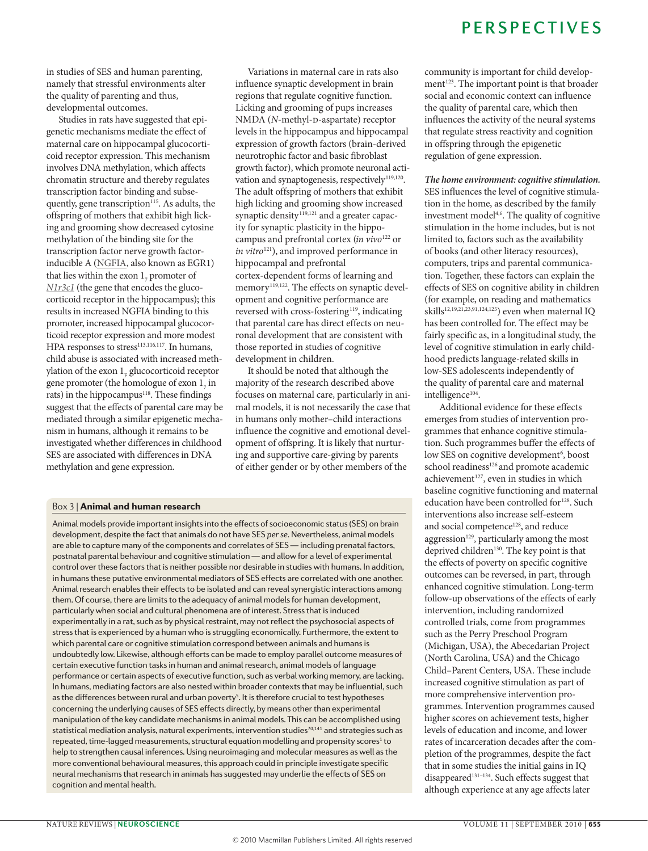### **PFRSPFCTIVES**

in studies of SES and human parenting, namely that stressful environments alter the quality of parenting and thus, developmental outcomes.

Studies in rats have suggested that epigenetic mechanisms mediate the effect of maternal care on hippocampal glucocorticoid receptor expression. This mechanism involves DNA methylation, which affects chromatin structure and thereby regulates transcription factor binding and subsequently, gene transcription<sup>115</sup>. As adults, the offspring of mothers that exhibit high licking and grooming show decreased cytosine methylation of the binding site for the transcription factor nerve growth factorinducible A [\(NGFIA](http://www.uniprot.org/uniprot/P08046), also known as EGR1) that lies within the exon  $1$ <sub>7</sub> promoter of *[N1r3c1](http://www.ncbi.nlm.nih.gov/gene/14815)* (the gene that encodes the glucocorticoid receptor in the hippocampus); this results in increased NGFIA binding to this promoter, increased hippocampal glucocorticoid receptor expression and more modest HPA responses to stress<sup>113,116,117</sup>. In humans, child abuse is associated with increased methylation of the exon  $1_F$  glucocorticoid receptor gene promoter (the homologue of exon  $1<sub>7</sub>$  in rats) in the hippocampus<sup>118</sup>. These findings suggest that the effects of parental care may be mediated through a similar epigenetic mechanism in humans, although it remains to be investigated whether differences in childhood SES are associated with differences in DNA methylation and gene expression.

Variations in maternal care in rats also influence synaptic development in brain regions that regulate cognitive function. Licking and grooming of pups increases NMDA (N-methyl-D-aspartate) receptor levels in the hippocampus and hippocampal expression of growth factors (brain-derived neurotrophic factor and basic fibroblast growth factor), which promote neuronal activation and synaptogenesis, respectively<sup>119,120</sup>. The adult offspring of mothers that exhibit high licking and grooming show increased synaptic density<sup>119,121</sup> and a greater capacity for synaptic plasticity in the hippocampus and prefrontal cortex (*in vivo*122 or *in vitro*121), and improved performance in hippocampal and prefrontal cortex-dependent forms of learning and memory<sup>119,122</sup>. The effects on synaptic development and cognitive performance are reversed with cross-fostering<sup>119</sup>, indicating that parental care has direct effects on neuronal development that are consistent with those reported in studies of cognitive development in children.

It should be noted that although the majority of the research described above focuses on maternal care, particularly in animal models, it is not necessarily the case that in humans only mother–child interactions influence the cognitive and emotional development of offspring. It is likely that nurturing and supportive care-giving by parents of either gender or by other members of the

#### Box 3 | Animal and human research

Animal models provide important insights into the effects of socioeconomic status (SES) on brain development, despite the fact that animals do not have SES *perse.* Nevertheless, animal models are able to capture many of the components and correlates of SES — including prenatal factors, postnatal parental behaviour and cognitive stimulation — and allow for a level of experimental control over these factors that is neither possible nor desirable in studies with humans. In addition, in humans these putative environmental mediators of SES effects are correlated with one another. Animal research enables their effects to be isolated and can reveal synergistic interactions among them. Of course, there are limits to the adequacy of animal models for human development, particularly when social and cultural phenomena are of interest. Stress that is induced experimentally in a rat, such as by physical restraint, may not reflect the psychosocial aspects of stress that is experienced by a human who is struggling economically. Furthermore, the extent to which parental care or cognitive stimulation correspond between animals and humans is undoubtedly low. Likewise, although efforts can be made to employ parallel outcome measures of certain executive function tasks in human and animal research, animal models of language performance or certain aspects of executive function, such as verbal working memory, are lacking. In humans, mediating factors are also nested within broader contexts that may be influential, such as the differences between rural and urban poverty<sup>5</sup>. It is therefore crucial to test hypotheses concerning the underlying causes of SES effects directly, by means other than experimental manipulation of the key candidate mechanisms in animal models. This can be accomplished using statistical mediation analysis, natural experiments, intervention studies<sup>70,141</sup> and strategies such as repeated, time-lagged measurements, structural equation modelling and propensity scores<sup>1</sup> to help to strengthen causal inferences. Using neuroimaging and molecular measures as well as the more conventional behavioural measures, this approach could in principle investigate specific neural mechanisms that research in animals has suggested may underlie the effects of SES on cognition and mental health.

community is important for child development<sup>123</sup>. The important point is that broader social and economic context can influence the quality of parental care, which then influences the activity of the neural systems that regulate stress reactivity and cognition in offspring through the epigenetic regulation of gene expression.

*The home environment: cognitive stimulation.*  SES influences the level of cognitive stimulation in the home, as described by the family investment model<sup>4,6</sup>. The quality of cognitive stimulation in the home includes, but is not limited to, factors such as the availability of books (and other literacy resources), computers, trips and parental communication. Together, these factors can explain the effects of SES on cognitive ability in children (for example, on reading and mathematics skills<sup>12,19,21,23,91,124,125</sup>) even when maternal IQ has been controlled for. The effect may be fairly specific as, in a longitudinal study, the level of cognitive stimulation in early childhood predicts language-related skills in low-SES adolescents independently of the quality of parental care and maternal intelligence<sup>104</sup>.

Additional evidence for these effects emerges from studies of intervention programmes that enhance cognitive stimulation. Such programmes buffer the effects of low SES on cognitive development<sup>6</sup>, boost school readiness<sup>126</sup> and promote academic achievement<sup>127</sup>, even in studies in which baseline cognitive functioning and maternal education have been controlled for<sup>128</sup>. Such interventions also increase self-esteem and social competence<sup>128</sup>, and reduce aggression<sup>129</sup>, particularly among the most deprived children<sup>130</sup>. The key point is that the effects of poverty on specific cognitive outcomes can be reversed, in part, through enhanced cognitive stimulation. Long-term follow-up observations of the effects of early intervention, including randomized controlled trials, come from programmes such as the Perry Preschool Program (Michigan, USA), the Abecedarian Project (North Carolina, USA) and the Chicago Child–Parent Centers, USA. These include increased cognitive stimulation as part of more comprehensive intervention programmes. Intervention programmes caused higher scores on achievement tests, higher levels of education and income, and lower rates of incarceration decades after the completion of the programmes, despite the fact that in some studies the initial gains in IQ disappeared<sup>131-134</sup>. Such effects suggest that although experience at any age affects later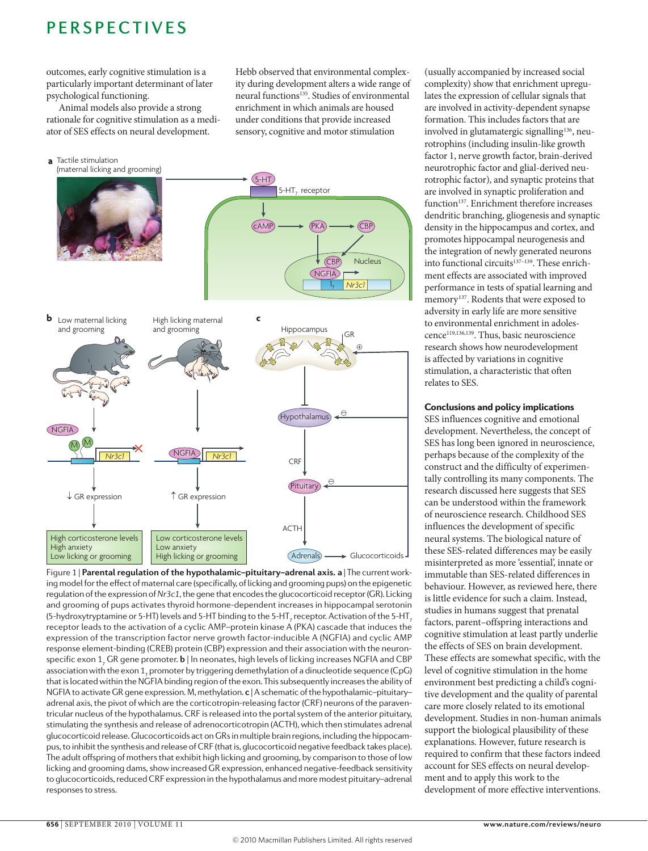outcomes, early cognitive stimulation is a particularly important determinant of later psychological functioning.

Animal models also provide a strong rationale for cognitive stimulation as a mediator of SES effects on neural development.

Hebb observed that environmental complexity during development alters a wide range of neural functions<sup>135</sup>. Studies of environmental enrichment in which animals are housed under conditions that provide increased sensory, cognitive and motor stimulation

**a** Tactile stimulation (maternal licking and grooming)



**Nature Reviews** | **Neuroscience** regulation of the expression of *Nr3c1*, the gene that encodes the glucocorticoid receptor (GR). Licking Figure 1 | **parental regulation of the hypothalamic–pituitary–adrenal axis. a** | The current working model for the effect of maternal care (specifically, of licking and grooming pups) on the epigenetic and grooming of pups activates thyroid hormone-dependent increases in hippocampal serotonin (5-hydroxytryptamine or 5-HT) levels and 5-HT binding to the 5-HT<sub>,</sub> receptor. Activation of the 5-HT<sub>,</sub> receptor leads to the activation of a cyclic AMP–protein kinase  $\overrightarrow{A}$  (PKA) cascade that induces the expression of the transcription factor nerve growth factor-inducible A (NGFiA) and cyclic AMP response element-binding (cReB) protein (cBP) expression and their association with the neuronspecific exon 1<sub>,</sub> GR gene promoter. **b** | In neonates, high levels of licking increases NGFIA and CBP association with the exon 1, promoter by triggering demethylation of a dinucleotide sequence (CpG) that is located within the NGFiA binding region of the exon. This subsequently increases the ability of NGFiA to activate GR gene expression. M, methylation. **c** | A schematic of the hypothalamic–pituitary– adrenal axis, the pivot of which are the corticotropin-releasing factor (CRF) neurons of the paraventricular nucleus of the hypothalamus. cRF is released into the portal system of the anterior pituitary, stimulating the synthesis and release of adrenocorticotropin (AcTH), which then stimulates adrenal glucocorticoid release. Glucocorticoids act on GRs in multiple brain regions, including the hippocampus, to inhibit the synthesis and release of cRF (that is, glucocorticoid negative feedback takes place). The adult offspring of mothers that exhibit high licking and grooming, by comparison to those of low licking and grooming dams, show increased GR expression, enhanced negative-feedback sensitivity to glucocorticoids, reduced cRF expression in the hypothalamus and more modest pituitary–adrenal responses to stress.

(usually accompanied by increased social complexity) show that enrichment upregulates the expression of cellular signals that are involved in activity-dependent synapse formation. This includes factors that are involved in glutamatergic signalling<sup>136</sup>, neurotrophins (including insulin-like growth factor 1, nerve growth factor, brain-derived neurotrophic factor and glial-derived neurotrophic factor), and synaptic proteins that are involved in synaptic proliferation and function<sup>137</sup>. Enrichment therefore increases dendritic branching, gliogenesis and synaptic density in the hippocampus and cortex, and promotes hippocampal neurogenesis and the integration of newly generated neurons into functional circuits<sup>137-139</sup>. These enrichment effects are associated with improved performance in tests of spatial learning and memory<sup>137</sup>. Rodents that were exposed to adversity in early life are more sensitive to environmental enrichment in adolescence119,136,139. Thus, basic neuroscience research shows how neurodevelopment is affected by variations in cognitive stimulation, a characteristic that often relates to SES.

### Conclusions and policy implications

SES influences cognitive and emotional development. Nevertheless, the concept of SES has long been ignored in neuroscience, perhaps because of the complexity of the construct and the difficulty of experimentally controlling its many components. The research discussed here suggests that SES can be understood within the framework of neuroscience research. Childhood SES influences the development of specific neural systems. The biological nature of these SES-related differences may be easily misinterpreted as more 'essential', innate or immutable than SES-related differences in behaviour. However, as reviewed here, there is little evidence for such a claim. Instead, studies in humans suggest that prenatal factors, parent–offspring interactions and cognitive stimulation at least partly underlie the effects of SES on brain development. These effects are somewhat specific, with the level of cognitive stimulation in the home environment best predicting a child's cognitive development and the quality of parental care more closely related to its emotional development. Studies in non-human animals support the biological plausibility of these explanations. However, future research is required to confirm that these factors indeed account for SES effects on neural development and to apply this work to the development of more effective interventions.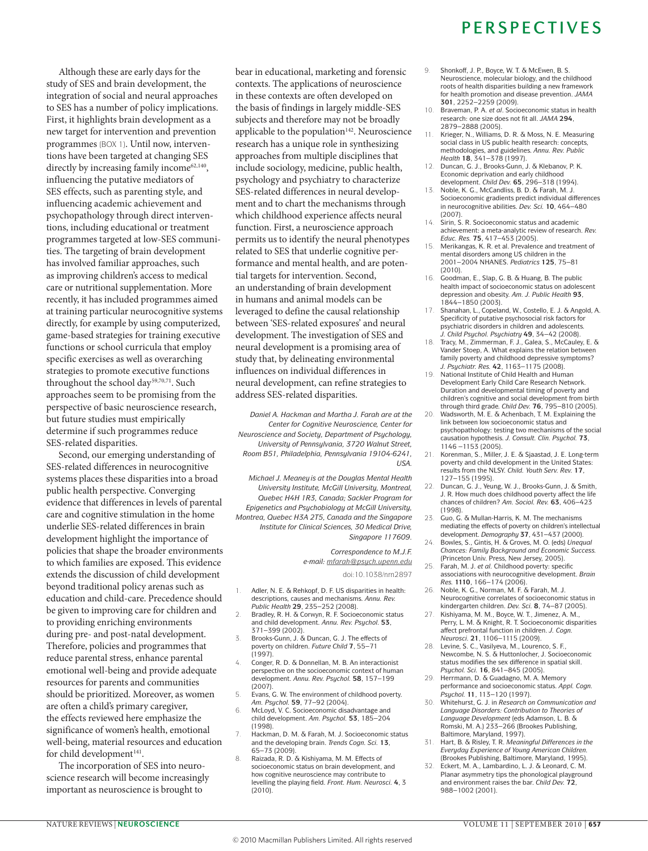Although these are early days for the study of SES and brain development, the integration of social and neural approaches to SES has a number of policy implications. First, it highlights brain development as a new target for intervention and prevention programmes (BOX 1). Until now, interventions have been targeted at changing SES directly by increasing family income<sup>62,140</sup>, influencing the putative mediators of SES effects, such as parenting style, and influencing academic achievement and psychopathology through direct interventions, including educational or treatment programmes targeted at low-SES communities. The targeting of brain development has involved familiar approaches, such as improving children's access to medical care or nutritional supplementation. More recently, it has included programmes aimed at training particular neurocognitive systems directly, for example by using computerized, game-based strategies for training executive functions or school curricula that employ specific exercises as well as overarching strategies to promote executive functions throughout the school day<sup>59,70,71</sup>. Such approaches seem to be promising from the perspective of basic neuroscience research, but future studies must empirically determine if such programmes reduce SES-related disparities.

Second, our emerging understanding of SES-related differences in neurocognitive systems places these disparities into a broad public health perspective. Converging evidence that differences in levels of parental care and cognitive stimulation in the home underlie SES-related differences in brain development highlight the importance of policies that shape the broader environments to which families are exposed. This evidence extends the discussion of child development beyond traditional policy arenas such as education and child-care. Precedence should be given to improving care for children and to providing enriching environments during pre- and post-natal development. Therefore, policies and programmes that reduce parental stress, enhance parental emotional well-being and provide adequate resources for parents and communities should be prioritized. Moreover, as women are often a child's primary caregiver, the effects reviewed here emphasize the significance of women's health, emotional well-being, material resources and education for child development<sup>141</sup>.

The incorporation of SES into neuroscience research will become increasingly important as neuroscience is brought to

bear in educational, marketing and forensic contexts. The applications of neuroscience in these contexts are often developed on the basis of findings in largely middle-SES subjects and therefore may not be broadly applicable to the population<sup>142</sup>. Neuroscience research has a unique role in synthesizing approaches from multiple disciplines that include sociology, medicine, public health, psychology and psychiatry to characterize SES-related differences in neural development and to chart the mechanisms through which childhood experience affects neural function. First, a neuroscience approach permits us to identify the neural phenotypes related to SES that underlie cognitive performance and mental health, and are potential targets for intervention. Second, an understanding of brain development in humans and animal models can be leveraged to define the causal relationship between 'SES-related exposures' and neural development. The investigation of SES and neural development is a promising area of study that, by delineating environmental influences on individual differences in neural development, can refine strategies to address SES-related disparities.

*Daniel A. Hackman and Martha J. Farah are at the Center for Cognitive Neuroscience, Center for Neuroscience and Society, Department of Psychology, University of Pennsylvania, 3720 Walnut Street, Room B51, Philadelphia, Pennsylvania 19104‑6241, USA.*

*Michael J. Meaney is at the Douglas Mental Health University Institute, McGill University, Montreal, Quebec H4H 1R3, Canada; Sackler Program for Epigenetics and Psychobiology at McGill University, Montrea, Quebec H3A 2T5, Canada and the Singapore Institute for Clinical Sciences, 30 Medical Drive, Singapore 117609.*

> *Correspondence to M.J.F. e‑mail: [mfarah@psych.upenn.edu](mailto:mfarah@psych.upenn.edu)*

doi:10.1038/nrn2897

- 1. Adler, N. E. & Rehkopf, D. F. US disparities in health: descriptions, causes and mechanisms. *Annu. Rev. Public Health* **29**, 235–252 (2008).
- 2. Bradley, R. H. & Corwyn, R. F. Socioeconomic status and child development. *Annu. Rev. Psychol.* **53**, 371–399 (2002).
- Brooks-Gunn, J. & Duncan, G. J. The effects of poverty on children. *Future Child* **7**, 55–71 (1997).
- 4. Conger, R. D. & Donnellan, M. B. An interactionist perspective on the socioeconomic context of human development. *Annu. Rev. Psychol.* **58**, 157–199 (2007).
- 5. Evans, G. W. The environment of childhood poverty. *Am. Psychol.* **59**, 77–92 (2004).
- 6. McLoyd, V. C. Socioeconomic disadvantage and child development. *Am. Psychol.* **53**, 185–204 (1998).
- 7. Hackman, D. M. & Farah, M. J. Socioeconomic status and the developing brain. *Trends Cogn. Sci.* **13**, 65–73 (2009).
- 8. Raizada, R. D. & Kishiyama, M. M. Effects of socioeconomic status on brain development, and how cognitive neuroscience may contribute to levelling the playing field. *Front. Hum. Neurosci.* **4**, 3 (2010).
- 9. Shonkoff, J. P., Boyce, W. T. & McEwen, B. S. Neuroscience, molecular biology, and the childhood roots of health disparities building a new framework for health promotion and disease prevention. *JAMA*  **301**, 2252–2259 (2009).
- 10. Braveman, P. A. *et al*. Socioeconomic status in health research: one size does not fit all. *JAMA* **294**, 2879–2888 (2005).
- 11. Krieger, N., Williams, D. R. & Moss, N. E. Measuring social class in US public health research: concepts, methodologies, and guidelines. *Annu. Rev. Public Health* **18**, 341–378 (1997).
- 12. Duncan, G. J., Brooks-Gunn, J. & Klebanov, P. K. Economic deprivation and early childhood development. *Child Dev.* **65**, 296–318 (1994).
- 13. Noble, K. G., McCandliss, B. D. & Farah, M. J. Socioeconomic gradients predict individual differences in neurocognitive abilities. *Dev. Sci.* **10**, 464–480 (2007).
- 14. Sirin, S. R. Socioeconomic status and academic achievement: a meta-analytic review of research. *Rev. Educ. Res.* **75**, 417–453 (2005).
- 15. Merikangas, K. R. et al. Prevalence and treatment of mental disorders among US children in the 2001–2004 NHANES. *Pediatrics* **125**, 75–81 (2010).
- 16. Goodman, E., Slap, G. B. & Huang, B. The public health impact of socioeconomic status on adolescent depression and obesity. *Am. J. Public Health* **93**, 1844–1850 (2003).
- 17. Shanahan, L., Copeland, W., Costello, E. J. & Angold, A. Specificity of putative psychosocial risk factors for psychiatric disorders in children and adolescents. *J. Child Psychol. Psychiatry* **49**, 34–42 (2008).
- 18. Tracy, M., Zimmerman, F. J., Galea, S., McCauley, E. & Vander Stoep, A. What explains the relation between family poverty and childhood depressive symptoms? *J. Psychiatr. Res.* **42**, 1163–1175 (2008).
- 19. National Institute of Child Health and Human Development Early Child Care Research Network. Duration and developmental timing of poverty and children's cognitive and social development from birth through third grade. *Child Dev.* **76**, 795–810 (2005).
- 20. Wadsworth, M. E. & Achenbach, T. M. Explaining the link between low socioeconomic status and psychopathology: testing two mechanisms of the social causation hypothesis. *J. Consult. Clin. Psychol.* **73**, 1146 –1153 (2005).
- 21. Korenman, S., Miller, J. E. & Sjaastad, J. E. Long-term poverty and child development in the United States: results from the NLSY. *Child. Youth Serv. Rev.* **17**, 127–155 (1995).
- 22. Duncan, G. J., Yeung, W. J., Brooks-Gunn, J. & Smith, J. R. How much does childhood poverty affect the life chances of children? *Am. Sociol. Rev.* **63**, 406–423 (1998).
- 23. Guo, G. & Mullan-Harris, K. M. The mechanisms mediating the effects of poverty on children's intellectual development. *Demography* **37**, 431–437 (2000).
- 24. Bowles, S., Gintis, H. & Groves, M. O. (eds) *Unequal Chances: Family Background and Economic Success.* (Princeton Univ. Press, New Jersey, 2005).
- 25. Farah, M. J. *et al.* Childhood poverty: specific associations with neurocognitive development. *Brain Res.* **1110**, 166–174 (2006).
- 26. Noble, K. G., Norman, M. F. & Farah, M. J. Neurocognitive correlates of socioeconomic status in kindergarten children. *Dev. Sci.* **8**, 74–87 (2005).
- 27. Kishiyama, M. M., Boyce, W. T., Jimenez, A. M., Perry, L. M. & Knight, R. T. Socioeconomic disparities affect prefrontal function in children. *J. Cogn. Neurosci.* **21**, 1106–1115 (2009).
- 28. Levine, S. C., Vasilyeva, M., Lourenco, S. F., Newcombe, N. S. & Huttonlocher, J. Socioeconomic status modifies the sex difference in spatial skill. *Psychol. Sci.* **16**, 841–845 (2005).
- 29. Herrmann, D. & Guadagno, M. A. Memory performance and socioeconomic status. *Appl. Cogn. Psychol.* **11**, 113–120 (1997).
- 30. Whitehurst, G. J. in *Research on Communication and Language Disorders: Contribution to Theories of Language Development* (eds Adamson, L. B. & Romski, M. A.) 233–266 (Brookes Publishing, Baltimore, Maryland, 1997).
- 31. Hart, B. & Risley, T. R. *Meaningful Differences in the Everyday Experience of Young American Children.* (Brookes Publishing, Baltimore, Maryland, 1995).
- 32. Eckert, M. A., Lambardino, L. J. & Leonard, C. M. Planar asymmetry tips the phonological playground and environment raises the bar. *Child Dev.* **72**, 988–1002 (2001).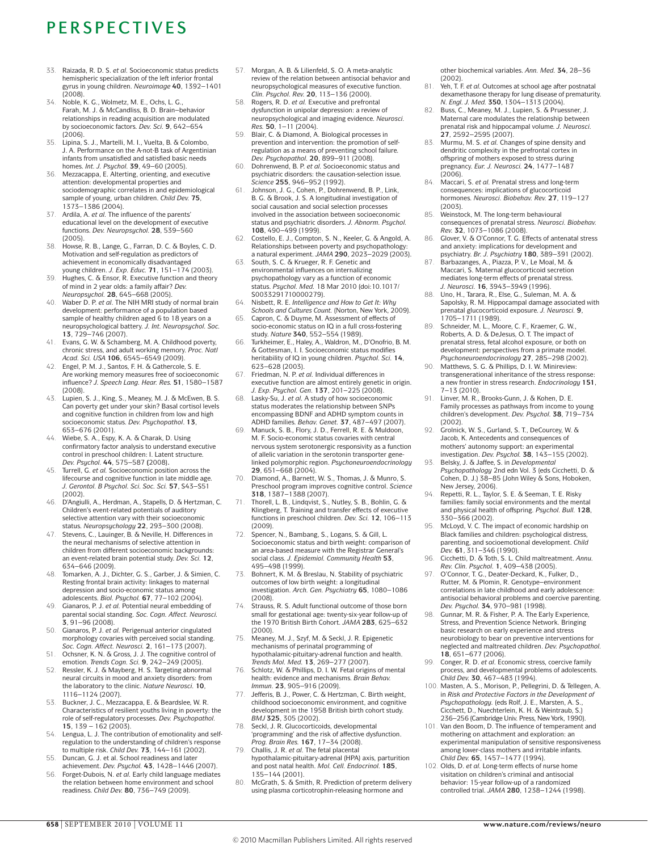- 33. Raizada, R. D. S. *et al.* Socioeconomic status predicts hemispheric specialization of the left inferior frontal gyrus in young children. *Neuroimage* **40**, 1392–1401 (2008).
- 34. Noble, K. G., Wolmetz, M. E., Ochs, L. G., Farah, M. J. & McCandliss, B. D. Brain–behavior relationships in reading acquisition are modulated by socioeconomic factors. *Dev. Sci.* **9**, 642–654 (2006).
- 35. Lipina, S. J., Martelli, M. I., Vuelta, B. & Colombo, J. A. Performance on the A-not-B task of Argentinian infants from unsatisfied and satisfied basic needs homes. *Int. J. Psychol.* **39**, 49–60 (2005).
- 36. Mezzacappa, E. Alterting, orienting, and executive attention: developmental properties and sociodemographic correlates in and epidemiological sample of young, urban children. *Child Dev.* **75**, 1373–1386 (2004).
- 37. Ardila, A. *et al.* The influence of the parents' educational level on the development of executive functions. *Dev. Neuropsychol.* **28**, 539–560 (2005).
- 38. Howse, R. B., Lange, G., Farran, D. C. & Boyles, C. D. Motivation and self-regulation as predictors of achievement in economically disadvantaged young children. *J. Exp. Educ.* **71**, 151–174 (2003).
- 39. Hughes, C. & Ensor, R. Executive function and theory of mind in 2 year olds: a family affair? *Dev. Neuropsychol.* **28**, 645–668 (2005).
- 40. Waber D. P. *et al*. The NIH MRI study of normal brain development: performance of a population based sample of healthy children aged 6 to 18 years on a neuropsychological battery. *J. Int. Neuropsychol. Soc.* **13**, 729–746 (2007).
- 41. Evans, G. W. & Schamberg, M. A. Childhood poverty, chronic stress, and adult working memory. *Proc. Natl Acad. Sci. USA* **106**, 6545–6549 (2009).
- 42. Engel, P. M. J., Santos, F. H. & Gathercole, S. E. Are working memory measures free of socioeconomic influence? *J. Speech Lang. Hear. Res.* **51**, 1580–1587 (2008).
- 43. Lupien, S. J., King, S., Meaney, M. J. & McEwen, B. S. Can poverty get under your skin? Basal cortisol levels and cognitive function in children from low and high socioeconomic status. *Dev. Psychopathol*. **13**, 653–676 (2001).
- 44. Wiebe, S. A., Espy, K. A. & Charak, D. Using confirmatory factor analysis to understand executive control in preschool children: I. Latent structure. *Dev. Psychol.* **44**, 575–587 **(**2008)**.**
- Turrell, G. et al. Socioeconomic position across the lifecourse and cognitive function in late middle age. *J. Gerontol. B Psychol. Sci. Soc. Sci.* **57**, S43–S51 (2002).
- 46. D'Angiulli, A., Herdman, A., Stapells, D. & Hertzman, C. Children's event-related potentials of auditory selective attention vary with their socioeconomic
- status. *Neuropsychology* **22**, 293–300 (2008). 47. Stevens, C., Lauinger, B. & Neville, H. Differences in the neural mechanisms of selective attention in children from different socioeconomic backgrounds: an event-related brain potential study. *Dev. Sci.* **12**, 634–646 (2009).
- 48. Tomarken, A. J., Dichter, G. S., Garber, J. & Simien, C. Resting frontal brain activity: linkages to maternal depression and socio-economic status among adolescents. *Biol. Psychol.* **67**, 77–102 (2004).
- 49. Gianaros, P. J. *et al.* Potential neural embedding of parental social standing. *Soc. Cogn. Affect. Neurosci.*  **3**, 91–96 (2008).
- 50. Gianaros, P. J. *et al.* Perigenual anterior cingulated morphology covaries with perceived social standing. *Soc. Cogn. Affect. Neurosci.* **2**, 161–173 (2007).
- 51. Ochsner, K. N. & Gross, J. J. The cognitive control of emotion. *Trends Cogn. Sci.* **9**, 242–249 (2005). 52. Ressler, K. J. & Mayberg, H. S. Targeting abnormal
- neural circuits in mood and anxiety disorders: from the laboratory to the clinic. *Nature Neurosci.* **10**, 1116–1124 (2007).
- 53. Buckner, J. C., Mezzacappa, E. & Beardslee, W. R. Characteristics of resilient youths living in poverty: the role of self-regulatory processes. *Dev. Psychopathol.* **15**, 139 – 162 (2003).
- Lengua, L. J. The contribution of emotionality and selfregulation to the understanding of children's response to multiple risk. *Child Dev.* **73**, 144–161 (2002).
- 55. Duncan, G. J. et al. School readiness and later achievement. *Dev. Psychol.* **43**, 1428–1446 (2007).
- 56. Forget-Dubois, N. *et al.* Early child language mediates the relation between home environment and school readiness. *Child Dev.* **80**, 736–749 (2009).
- 57. Morgan, A. B. & Lilienfeld, S. O. A meta-analytic review of the relation between antisocial behavior and neuropsychological measures of executive function.
- *Clin. Psychol. Rev.* **20**, 113–136 (2000). 58. Rogers, R. D. *et al.* Executive and prefrontal dysfunction in unipolar depression: a review of neuropsychological and imaging evidence. *Neurosci. Res.* **50**, 1–11 (2004).
- 59. Blair, C. & Diamond, A. Biological processes in prevention and intervention: the promotion of selfregulation as a means of preventing school failure. *Dev. Psychopathol.* **20**, 899–911 (2008).
- 60. Dohrenwend, B. P. *et al.* Socioeconomic status and psychiatric disorders: the causation-selection issue. *Science* **255**, 946–952 (1992).
- 61. Johnson, J. G., Cohen, P., Dohrenwend, B. P., Link, B. G. & Brook, J. S. A longitudinal investigation of social causation and social selection processes involved in the association between socioeconomic status and psychiatric disorders. *J. Abnorm. Psychol.*  **108**, 490–499 (1999).
- 62. Costello, E. J., Compton, S. N., Keeler, G. & Angold, A. Relationships between poverty and psychopathology: a natural experiment. *JAMA* **290**, 2023–2029 (2003).
- 63. South, S. C. & Krueger, R. F. Genetic and environmental influences on internalizing psychopathology vary as a function of economic status. *Psychol. Med.* 18 Mar 2010 (doi:10.1017/ S0033291710000279).
- 64. Nisbett, R. E. *Intelligence and How to Get It: Why Schools and Cultures Count.* (Norton, New York, 2009).
- 65. Capron, C. & Duyme, M. Assessment of effects of socio-economic status on IQ in a full cross-fostering study. *Nature* **340**, 552–554 (1989).
- 66. Turkheimer, E., Haley, A., Waldron, M., D'Onofrio, B. M. & Gottesman, I. I. Socioeconomic status modifies heritability of IQ in young children. *Psychol. Sci.* **14**, 623–628 (2003).
- 67. Friedman, N. P. *et al.* Individual differences in executive function are almost entirely genetic in origin. *J. Exp. Psychol. Gen.* **137**, 201–225 (2008).
- 68. Lasky-Su, J. *et al.* A study of how socioeconomic status moderates the relationship between SNPs encompassing BDNF and ADHD symptom counts in ADHD families. *Behav. Genet.* **37**, 487–497 (2007).
- 69. Manuck, S. B., Flory, J. D., Ferrell, R. E. & Muldoon, M. F. Socio-economic status covaries with central nervous system serotonergic responsivity as a function of allelic variation in the serotonin transporter genelinked polymorphic region. *Psychoneuroendocrinology* **29**, 651–668 (2004).
- 70. Diamond, A., Barnett, W. S., Thomas, J. & Munro, S. Preschool program improves cognitive control. *Science* **318**, 1387–1388 (2007).
- 71. Thorell, L. B., Lindqvist, S., Nutley, S. B., Bohlin, G. & Klingberg, T. Training and transfer effects of executive functions in preschool children. *Dev. Sci.* **12**, 106–113  $(2009)$
- 72. Spencer, N., Bambang, S., Logans, S. & Gill, L. Socioeconomic status and birth weight: comparison of an area-based measure with the Registrar General's social class. *J. Epidemiol. Community Health* **53**, 495–498 (1999).
- 73. Bohnert, K. M. & Breslau, N. Stability of psychiatric outcomes of low birth weight: a longitudinal investigation. *Arch. Gen. Psychiatry* **65**, 1080–1086 (2008).
- Strauss, R. S. Adult functional outcome of those born small for gestational age: twenty-six-year follow-up of the 1970 British Birth Cohort. *JAMA* **283**, 625–632  $(2000)$
- 75. Meaney, M. J., Szyf, M. & Seckl, J. R. Epigenetic mechanisms of perinatal programming of hypothalamic-pituitary-adrenal function and health. *Trends Mol. Med.* **13**, 269–277 (2007).
- 76. Schlotz, W. & Phillips, D. I. W. Fetal origins of mental health: evidence and mechanisms. *Brain Behav. Immun.* **23**, 905–916 (2009).
- 77. Jefferis, B. J., Power, C. & Hertzman, C. Birth weight, childhood socioeconomic environment, and cognitive development in the 1958 British birth cohort study. *BMJ* **325**, 305 (2002).
- 78. Seckl, J. R. Glucocorticoids, developmental 'programming' and the risk of affective dysfunction. *Prog. Brain Res.* **167**, 17–34 (2008).
- 79. Challis, J. R. *et al.* The fetal placental hypothalamic-pituitary-adrenal (HPA) axis, parturition and post natal health. *Mol. Cell. Endocrinol.* **185**, 135–144 (2001).
- 80. McGrath, S. & Smith, R. Prediction of preterm delivery using plasma corticotrophin-releasing hormone and

other biochemical variables. *Ann. Med.* **34**, 28–36 (2002).

- 81. Yeh, T. F. *et al.* Outcomes at school age after postnatal dexamethasone therapy for lung disease of prematurity. *N. Engl. J. Med.* **350**, 1304–1313 (2004). 82. Buss, C., Meaney, M. J., Lupien, S. & Pruessner, J.
- Maternal care modulates the relationship between prenatal risk and hippocampal volume. *J. Neurosci.* **27**, 2592–2595 (2007).
- 83. Murmu, M. S. *et al.* Changes of spine density and dendritic complexity in the prefrontal cortex in offspring of mothers exposed to stress during pregnancy. *Eur. J. Neurosci.* **24**, 1477–1487  $(2006)$
- 84. Maccari, S. *et al.* Prenatal stress and long-term consequences: implications of glucocorticoid hormones. *Neurosci. Biobehav. Rev.* **27**, 119–127 (2003).
- 85. Weinstock, M. The long-term behavioural consequences of prenatal stress. *Neurosci. Biobehav. Rev.* **32**, 1073–1086 (2008).
- 86. Glover, V. & O'Connor, T. G. Effects of antenatal stress and anxiety: implications for development and psychiatry. *Br. J. Psychiatry* **180**, 389–391 (2002).
- 87. Barbazanges, A., Piazza, P. V., Le Moal, M. & Maccari, S. Maternal glucocorticoid secretion mediates long-term effects of prenatal stress. *J. Neurosci.* **16**, 3943–3949 (1996).
- 88. Uno, H., Tarara, R., Else, G., Suleman, M. A. & Sapolsky, R. M. Hippocampal damage associated with prenatal glucocorticoid exposure. *J. Neurosci.* **9**, 1705–1711 (1989).
- Schneider, M. L., Moore, C. F., Kraemer, G. W., Roberts, A. D. & DeJesus, O. T. The impact of prenatal stress, fetal alcohol exposure, or both on development: perspectives from a primate model.
- *Psychoneuroendocrinology* **27**, 285–298 (2002). 90. Matthews, S. G. & Phillips, D. I. W. Minireview: transgenerational inheritance of the stress response: a new frontier in stress research. *Endocrinology* **151**, 7–13 (2010).
- 91. Linver, M. R., Brooks-Gunn, J. & Kohen, D. E. Family processes as pathways from income to young children's development. *Dev. Psychol.* **38**, 719–734 (2002).
- 92. Grolnick, W. S., Gurland, S. T., DeCourcey, W. & Jacob, K. Antecedents and consequences of mothers' autonomy support: an experimental investigation. *Dev. Psychol.* **38**, 143–155 (2002).
- 93. Belsky, J. & Jaffee, S. in *Developmental Psychopathology* 2nd edn Vol. 3 (eds Cicchetti, D. & Cohen, D. J.) 38–85 (John Wiley & Sons, Hoboken,
- New Jersey, 2006). 94. Repetti, R. L., Taylor, S. E. & Seeman, T. E. Risky families: family social environments and the mental and physical health of offspring. *Psychol. Bull.* **128**, 330–366 (2002).
- 95. McLoyd, V. C. The impact of economic hardship on Black families and children: psychological distress, parenting, and socioemotional development. *Child Dev.* **61**, 311–346 (1990).
- 96. Cicchetti, D. & Toth, S. L. Child maltreatment. *Annu. Rev. Clin. Psychol.* **1**, 409–438 (2005).
- 97. O'Connor, T. G., Deater-Deckard, K., Fulker, D., Rutter, M. & Plomin, R. Genotype–environment correlations in late childhood and early adolescence: antisocial behavioral problems and coercive parenting. *Dev. Psychol.* **34**, 970–981 (1998).
- 98. Gunnar, M. R. & Fisher, P. A. The Early Experience, Stress, and Prevention Science Network. Bringing basic research on early experience and stress neurobiology to bear on preventive interventions for neglected and maltreated children. *Dev. Psychopathol.* **18**, 651–677 (2006).
- 99. Conger, R. D. *et al*. Economic stress, coercive family process, and developmental problems of adolescents. *Child Dev.* **30**, 467–483 (1994).
- 100. Masten, A. S., Morison, P., Pellegrini, D. & Tellegen, A. in *Risk and Protective Factors in the Development of Psychopathology.* (eds Rolf, J. E., Marsten, A. S., Cicchett, D., Nuechterlein, K. H. & Weintraub, S.) 236–256 (Cambridge Univ. Press, New York, 1990).
- 101. Van den Boom, D. The influence of temperament and mothering on attachment and exploration: an experimental manipulation of sensitive responsiveness among lower-class mothers and irritable infants. *Child Dev.* **65**, 1457–1477 (1994).
- 102. Olds, D. *et al.* Long-term effects of nurse home visitation on children's criminal and antisocial behavior: 15-year follow-up of a randomized controlled trial. *JAMA* **280**, 1238–1244 (1998).